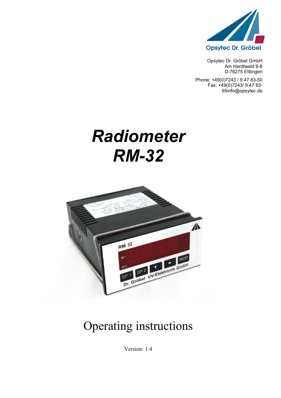

Opsytec Dr. Gröbel GmbH Am Hardtwald 6-8 D-76275 Ettlingen

Phone: +49(0)7243 / 9 47 83-50 Fax: +49(0)7243/ 9 47 83- 65info@opsytec.de

# *Radiometer RM-32*



## Operating instructions

Version: 1.4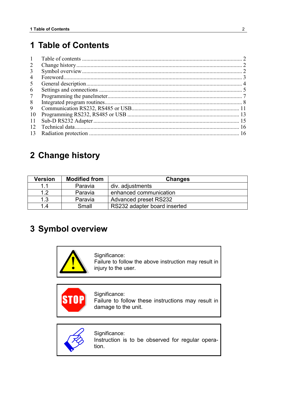### <span id="page-1-0"></span>**1 Table of Contents**

| $\mathbf{1}$ |  |
|--------------|--|
| 2            |  |
| 3            |  |
| 4            |  |
| 5            |  |
| 6            |  |
| $\tau$       |  |
| 8            |  |
| 9            |  |
| 10           |  |
| 11           |  |
| 12           |  |
| 13           |  |

### <span id="page-1-1"></span>**2 Change history**

| <b>Version</b> | <b>Modified from</b> | <b>Changes</b>               |
|----------------|----------------------|------------------------------|
| 11             | Paravia              | div. adjustments             |
| 1.2            | Paravia              | enhanced communication       |
| 1.3            | Paravia              | <b>Advanced preset RS232</b> |
| 1.4            | Small                | RS232 adapter board inserted |

### <span id="page-1-2"></span>**3 Symbol overview**

Significance: Failure to follow the above instruction may result in injury to the user.

Significance: **STO** Failure to follow these instructions may result in damage to the unit.



Significance: Instruction is to be observed for regular operation.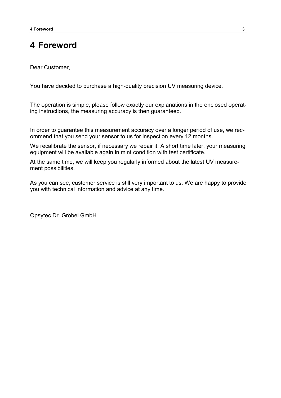### <span id="page-2-0"></span>**4 Foreword**

Dear Customer,

You have decided to purchase a high-quality precision UV measuring device.

The operation is simple, please follow exactly our explanations in the enclosed operating instructions, the measuring accuracy is then guaranteed.

In order to guarantee this measurement accuracy over a longer period of use, we recommend that you send your sensor to us for inspection every 12 months.

We recalibrate the sensor, if necessary we repair it. A short time later, your measuring equipment will be available again in mint condition with test certificate.

At the same time, we will keep you regularly informed about the latest UV measurement possibilities.

As you can see, customer service is still very important to us. We are happy to provide you with technical information and advice at any time.

Opsytec Dr. Gröbel GmbH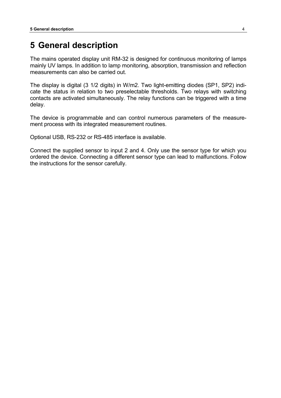### <span id="page-3-0"></span>**5 General description**

The mains operated display unit RM-32 is designed for continuous monitoring of lamps mainly UV lamps. In addition to lamp monitoring, absorption, transmission and reflection measurements can also be carried out.

The display is digital (3 1/2 digits) in W/m2. Two light-emitting diodes (SP1, SP2) indicate the status in relation to two preselectable thresholds. Two relays with switching contacts are activated simultaneously. The relay functions can be triggered with a time delay.

The device is programmable and can control numerous parameters of the measurement process with its integrated measurement routines.

Optional USB, RS-232 or RS-485 interface is available.

Connect the supplied sensor to input 2 and 4. Only use the sensor type for which you ordered the device. Connecting a different sensor type can lead to malfunctions. Follow the instructions for the sensor carefully.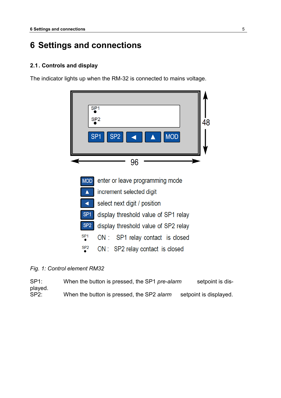### <span id="page-4-0"></span>**6 Settings and connections**

#### **2.1. Controls and display**

The indicator lights up when the RM-32 is connected to mains voltage.



#### *Fig. 1: Control element RM32*

SP1: When the button is pressed, the SP1 *pre-alarm* setpoint is displayed. SP2: When the button is pressed, the SP2 *alarm* setpoint is displayed.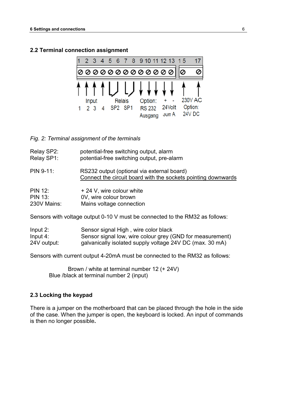#### **2.2 Terminal connection assignment**



*Fig. 2: Terminal assignment of the terminals*

| Relay SP2:  | potential-free switching output, alarm                                                                      |
|-------------|-------------------------------------------------------------------------------------------------------------|
| Relay SP1:  | potential-free switching output, pre-alarm                                                                  |
| $PIN 9-11:$ | RS232 output (optional via external board)<br>Connect the circuit board with the sockets pointing downwards |

| <b>PIN 12:</b> | + 24 V, wire colour white |
|----------------|---------------------------|
| <b>PIN 13:</b> | 0V, wire colour brown     |
| 230V Mains:    | Mains voltage connection  |

Sensors with voltage output 0-10 V must be connected to the RM32 as follows:

| Input $2:$  | Sensor signal High, wire color black                      |
|-------------|-----------------------------------------------------------|
| Input $4:$  | Sensor signal low, wire colour grey (GND for measurement) |
| 24V output: | galvanically isolated supply voltage 24V DC (max. 30 mA)  |

Sensors with current output 4-20mA must be connected to the RM32 as follows:

 Brown / white at terminal number 12 (+ 24V) Blue /black at terminal number 2 (input)

#### **2.3 Locking the keypad**

There is a jumper on the motherboard that can be placed through the hole in the side of the case. When the jumper is open, the keyboard is locked. An input of commands is then no longer possible**.**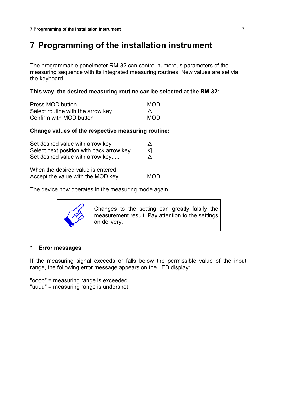### <span id="page-6-0"></span>**7 Programming of the installation instrument**

The programmable panelmeter RM-32 can control numerous parameters of the measuring sequence with its integrated measuring routines. New values are set via the keyboard.

#### **This way, the desired measuring routine can be selected at the RM-32:**

| Press MOD button                  | <b>MOD</b> |
|-----------------------------------|------------|
| Select routine with the arrow key |            |
| Confirm with MOD button           | <b>MOD</b> |

#### **Change values of the respective measuring routine:**

| Set desired value with arrow key         | ∧ |
|------------------------------------------|---|
| Select next position with back arrow key | ⊲ |
| Set desired value with arrow key,        | Λ |
| When the decired volue is entered        |   |

| When the desired value is entered, |            |
|------------------------------------|------------|
| Accept the value with the MOD key  | <b>MOD</b> |

The device now operates in the measuring mode again.



Changes to the setting can greatly falsify the measurement result. Pay attention to the settings on delivery.

#### **1. Error messages**

If the measuring signal exceeds or falls below the permissible value of the input range, the following error message appears on the LED display:

"oooo" = measuring range is exceeded "uuuu" = measuring range is undershot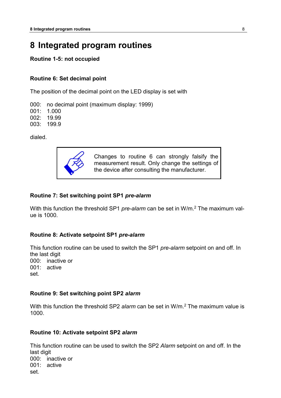### <span id="page-7-0"></span>**8 Integrated program routines**

#### **Routine 1-5: not occupied**

#### **Routine 6: Set decimal point**

The position of the decimal point on the LED display is set with

000: no decimal point (maximum display: 1999)

001: 1.000

002: 19.99

003: 199.9

dialed.



Changes to routine 6 can strongly falsify the measurement result. Only change the settings of the device after consulting the manufacturer.

#### **Routine 7: Set switching point SP1** *pre-alarm*

With this function the threshold SP1 *pre-alarm* can be set in W/m.2 The maximum value is 1000.

#### **Routine 8: Activate setpoint SP1** *pre-alarm*

This function routine can be used to switch the SP1 *pre-alarm* setpoint on and off. In the last digit 000: inactive or 001: active set.

#### **Routine 9: Set switching point SP2** *alarm*

With this function the threshold SP2 *alarm* can be set in W/m.2 The maximum value is 1000.

#### **Routine 10: Activate setpoint SP2** *alarm*

This function routine can be used to switch the SP2 *Alarm* setpoint on and off. In the last digit 000: inactive or 001: active set.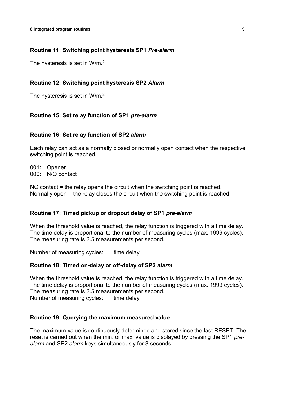#### **Routine 11: Switching point hysteresis SP1** *Pre-alarm*

The hysteresis is set in W/m.<sup>2</sup>

#### **Routine 12: Switching point hysteresis SP2** *Alarm*

The hysteresis is set in W/m.<sup>2</sup>

#### **Routine 15: Set relay function of SP1** *pre-alarm*

#### **Routine 16: Set relay function of SP2** *alarm*

Each relay can act as a normally closed or normally open contact when the respective switching point is reached.

001: Opener 000: N/O contact

NC contact = the relay opens the circuit when the switching point is reached. Normally open = the relay closes the circuit when the switching point is reached.

#### **Routine 17: Timed pickup or dropout delay of SP1** *pre-alarm*

When the threshold value is reached, the relay function is triggered with a time delay. The time delay is proportional to the number of measuring cycles (max. 1999 cycles). The measuring rate is 2.5 measurements per second.

Number of measuring cycles: time delay

#### **Routine 18: Timed on-delay or off-delay of SP2** *alarm*

When the threshold value is reached, the relay function is triggered with a time delay. The time delay is proportional to the number of measuring cycles (max. 1999 cycles). The measuring rate is 2.5 measurements per second. Number of measuring cycles: time delay

#### **Routine 19: Querying the maximum measured value**

The maximum value is continuously determined and stored since the last RESET. The reset is carried out when the min. or max. value is displayed by pressing the SP1 *prealarm* and SP2 *alarm* keys simultaneously for 3 seconds.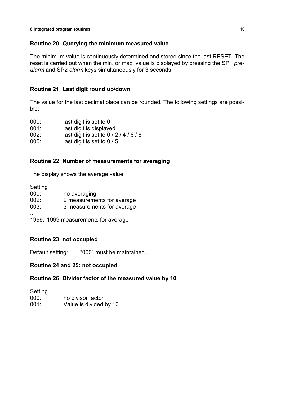#### **Routine 20: Querying the minimum measured value**

The minimum value is continuously determined and stored since the last RESET. The reset is carried out when the min. or max. value is displayed by pressing the SP1 *prealarm* and SP2 *alarm* keys simultaneously for 3 seconds.

#### **Routine 21: Last digit round up/down**

The value for the last decimal place can be rounded. The following settings are possible:

| 000: | last digit is set to 0           |
|------|----------------------------------|
| 001: | last digit is displayed          |
| 002: | last digit is set to $0/2/4/6/8$ |
| 005: | last digit is set to $0/5$       |

#### **Routine 22: Number of measurements for averaging**

The display shows the average value.

| Setting |                            |
|---------|----------------------------|
| 000:    | no averaging               |
| 002:    | 2 measurements for average |
| 003:    | 3 measurements for average |
|         |                            |

1999: 1999 measurements for average

#### **Routine 23: not occupied**

Default setting: "000" must be maintained.

#### **Routine 24 and 25: not occupied**

#### **Routine 26: Divider factor of the measured value by 10**

**Setting** 000: no divisor factor 001: Value is divided by 10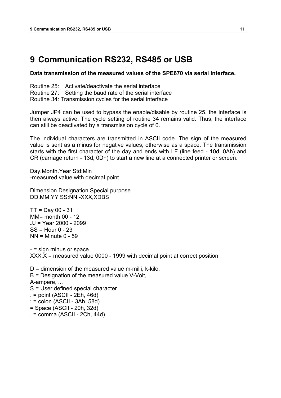### <span id="page-10-0"></span>**9 Communication RS232, RS485 or USB**

**Data transmission of the measured values of the SPE670 via serial interface.**

Routine 25: Activate/deactivate the serial interface Routine 27: Setting the baud rate of the serial interface Routine 34: Transmission cycles for the serial interface

Jumper JP4 can be used to bypass the enable/disable by routine 25, the interface is then always active. The cycle setting of routine 34 remains valid. Thus, the interface can still be deactivated by a transmission cycle of 0.

The individual characters are transmitted in ASCII code. The sign of the measured value is sent as a minus for negative values, otherwise as a space. The transmission starts with the first character of the day and ends with LF (line feed - 10d, 0Ah) and CR (carriage return - 13d, 0Dh) to start a new line at a connected printer or screen.

Day.Month.Year Std:Min -measured value with decimal point

Dimension Designation Special purpose DD.MM.YY SS:NN -XXX,XDBS

 $TT = Day 00 - 31$ MM= month 00 - 12 JJ = Year 2000 - 2099  $SS =$ Hour  $0 - 23$  $NN =$  Minute 0 - 59

- = sign minus or space  $XXX, X =$  measured value 0000 - 1999 with decimal point at correct position

 $D =$  dimension of the measured value m-milli, k-kilo, B = Designation of the measured value V-Volt, A-ampere, ... S = User defined special character  $=$  point (ASCII - 2Eh, 46d) : = colon (ASCII - 3Ah, 58d) = Space (ASCII - 20h, 32d) , = comma (ASCII - 2Ch, 44d)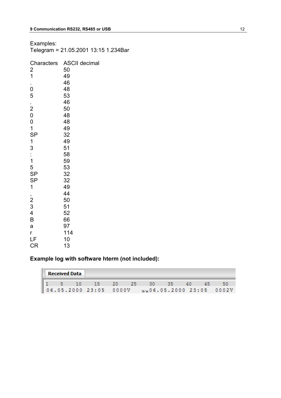| Examples:<br>Telegram = 21.05.2001 13:15 1.234Bar |                      |  |  |  |  |
|---------------------------------------------------|----------------------|--|--|--|--|
| Characters                                        | <b>ASCII decimal</b> |  |  |  |  |
| $\overline{\mathbf{c}}$                           | 50                   |  |  |  |  |
| $\overline{1}$                                    | 49                   |  |  |  |  |
|                                                   | 46                   |  |  |  |  |
| $\mathbf 0$                                       | 48                   |  |  |  |  |
| 5                                                 | 53                   |  |  |  |  |
|                                                   | 46                   |  |  |  |  |
| $\frac{1}{2}$                                     | 50                   |  |  |  |  |
|                                                   | 48                   |  |  |  |  |
| $\begin{matrix}0\\0\end{matrix}$                  | 48                   |  |  |  |  |
| $\overline{1}$                                    | 49                   |  |  |  |  |
|                                                   | 32                   |  |  |  |  |
| SP<br>1                                           | 49                   |  |  |  |  |
| 3                                                 | 51                   |  |  |  |  |
|                                                   | 58                   |  |  |  |  |
| $\frac{1}{1}$                                     | 59                   |  |  |  |  |
| 5                                                 | 53                   |  |  |  |  |
| SP                                                | 32                   |  |  |  |  |
| <b>SP</b>                                         | 32                   |  |  |  |  |
| $\mathbf 1$                                       | 49                   |  |  |  |  |
|                                                   | 44                   |  |  |  |  |
| $\begin{array}{c} 2 \\ 2 \\ 3 \\ 4 \end{array}$   | 50                   |  |  |  |  |
|                                                   | 51                   |  |  |  |  |
|                                                   | 52                   |  |  |  |  |
| B                                                 | 66                   |  |  |  |  |
| a                                                 | 97                   |  |  |  |  |
| r                                                 | 114                  |  |  |  |  |
| LF                                                | 10                   |  |  |  |  |
| <b>CR</b>                                         | 13                   |  |  |  |  |

### **Example log with software hterm (not included):**

| <b>Received Data</b> |  |  |                                                                      |  |  |  |  |
|----------------------|--|--|----------------------------------------------------------------------|--|--|--|--|
|                      |  |  | 1 5 10 15 20 25 30 35 40 45                                          |  |  |  |  |
|                      |  |  | $\parallel$ 06.05.2000 23:05 0000V $\sqrt{n+0.05}$ .2000 23:05 0002V |  |  |  |  |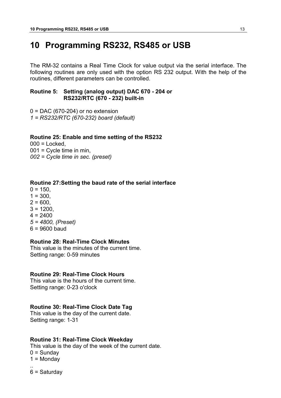### <span id="page-12-0"></span>**10 Programming RS232, RS485 or USB**

The RM-32 contains a Real Time Clock for value output via the serial interface. The following routines are only used with the option RS 232 output. With the help of the routines, different parameters can be controlled.

#### **Routine 5: Setting (analog output) DAC 670 - 204 or RS232/RTC (670 - 232) built-in**

 $0 = DAC (670-204)$  or no extension *1 = RS232/RTC (670-232) board (default)*

#### **Routine 25: Enable and time setting of the RS232**

 $000 =$ Locked,  $001$  = Cycle time in min, *002 = Cycle time in sec. (preset)*

#### **Routine 27:Setting the baud rate of the serial interface**

- $0 = 150$ .
- $1 = 300$ .
- $2 = 600,$
- $3 = 1200$ .
- $4 = 2400$
- *5 = 4800, (Preset)*
- 6 = 9600 baud

#### **Routine 28: Real-Time Clock Minutes**

This value is the minutes of the current time. Setting range: 0-59 minutes

#### **Routine 29: Real-Time Clock Hours**

This value is the hours of the current time. Setting range: 0-23 o'clock

#### **Routine 30: Real-Time Clock Date Tag**

This value is the day of the current date. Setting range: 1-31

#### **Routine 31: Real-Time Clock Weekday**

This value is the day of the week of the current date.

 $0 =$  Sundav

 $1 =$  Monday

.. 6 = Saturday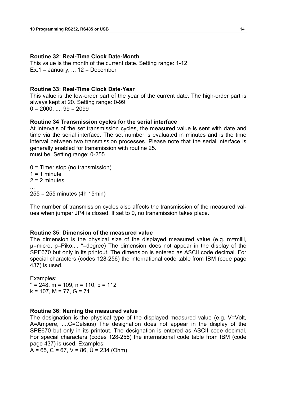#### **Routine 32: Real-Time Clock Date-Month**

This value is the month of the current date. Setting range: 1-12  $Ex.1 = January, ... 12 = December$ 

#### **Routine 33: Real-Time Clock Date-Year**

This value is the low-order part of the year of the current date. The high-order part is always kept at 20. Setting range: 0-99  $0 = 2000, \ldots, 99 = 2099$ 

#### **Routine 34 Transmission cycles for the serial interface**

At intervals of the set transmission cycles, the measured value is sent with date and time via the serial interface. The set number is evaluated in minutes and is the time interval between two transmission processes. Please note that the serial interface is generally enabled for transmission with routine 25. must be. Setting range: 0-255

0 = Timer stop (no transmission)  $1 = 1$  minute  $2 = 2$  minutes ... 255 = 255 minutes (4h 15min)

The number of transmission cycles also affects the transmission of the measured values when jumper JP4 is closed. If set to 0, no transmission takes place.

#### **Routine 35: Dimension of the measured value**

The dimension is the physical size of the displayed measured value (e.g. m=milli, μ=micro, p=Piko.... °=degree) The dimension does not appear in the display of the SPE670 but only in its printout. The dimension is entered as ASCII code decimal. For special characters (codes 128-256) the international code table from IBM (code page 437) is used.

Examples:  $\degree$  = 248, m = 109, n = 110, p = 112  $k = 107$ , M = 77, G = 71

#### **Routine 36: Naming the measured value**

The designation is the physical type of the displayed measured value (e.g. V=Volt, A=Ampere, ....C=Celsius) The designation does not appear in the display of the SPE670 but only in its printout. The designation is entered as ASCII code decimal. For special characters (codes 128-256) the international code table from IBM (code page 437) is used. Examples:

 $A = 65$ , C = 67, V = 86,  $\hat{U} = 234$  (Ohm)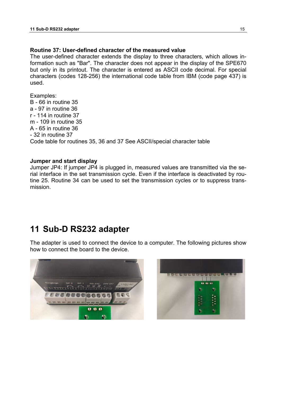#### **Routine 37: User-defined character of the measured value**

The user-defined character extends the display to three characters, which allows information such as "Bar". The character does not appear in the display of the SPE670 but only in its printout. The character is entered as ASCII code decimal. For special characters (codes 128-256) the international code table from IBM (code page 437) is used.

Examples: B - 66 in routine 35 a - 97 in routine 36 r - 114 in routine 37 m - 109 in routine 35 A - 65 in routine 36 - 32 in routine 37 Code table for routines 35, 36 and 37 See ASCII/special character table

#### **Jumper and start display**

Jumper JP4: If jumper JP4 is plugged in, measured values are transmitted via the serial interface in the set transmission cycle. Even if the interface is deactivated by routine 25. Routine 34 can be used to set the transmission cycles or to suppress transmission.

### <span id="page-14-0"></span>**11 Sub-D RS232 adapter**

The adapter is used to connect the device to a computer. The following pictures show how to connect the board to the device.